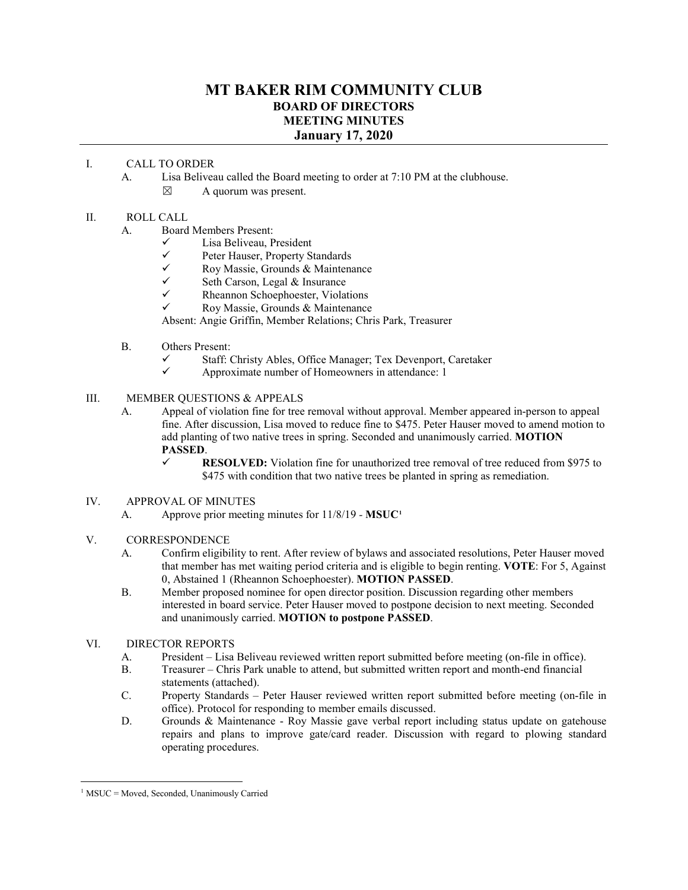# **MT BAKER RIM COMMUNITY CLUB BOARD OF DIRECTORS MEETING MINUTES January 17, 2020**

### I. CALL TO ORDER

- A. Lisa Beliveau called the Board meeting to order at 7:10 PM at the clubhouse.
	- $\boxtimes$  A quorum was present.

#### II. ROLL CALL

- A. Board Members Present:
	- $\checkmark$  Lisa Beliveau, President<br> $\checkmark$  Peter Hauser Property S
	- $\checkmark$  Peter Hauser, Property Standards<br> $\checkmark$  Roy Massie. Grounds & Maintena
	- $\checkmark$  Roy Massie, Grounds & Maintenance
	- $\checkmark$  Seth Carson, Legal & Insurance
	- $\checkmark$  Rheannon Schoephoester, Violations<br> $\checkmark$  Roy Massie Grounds & Maintenance
	- Roy Massie, Grounds & Maintenance

Absent: Angie Griffin, Member Relations; Chris Park, Treasurer

- B. Others Present:
	- $\checkmark$  Staff: Christy Ables, Office Manager; Tex Devenport, Caretaker  $\checkmark$  Approximate number of Homeowners in attendance: 1
	- Approximate number of Homeowners in attendance: 1

#### III. MEMBER QUESTIONS & APPEALS

- A. Appeal of violation fine for tree removal without approval. Member appeared in-person to appeal fine. After discussion, Lisa moved to reduce fine to \$475. Peter Hauser moved to amend motion to add planting of two native trees in spring. Seconded and unanimously carried. **MOTION PASSED**.
	- **RESOLVED:** Violation fine for unauthorized tree removal of tree reduced from \$975 to \$475 with condition that two native trees be planted in spring as remediation.
- IV. APPROVAL OF MINUTES
	- A. Approve prior meeting minutes for 11/8/19 *-* **MSUC[1](#page-0-0)**

## V. CORRESPONDENCE

- A. Confirm eligibility to rent. After review of bylaws and associated resolutions, Peter Hauser moved that member has met waiting period criteria and is eligible to begin renting. **VOTE**: For 5, Against 0, Abstained 1 (Rheannon Schoephoester). **MOTION PASSED**.
- B. Member proposed nominee for open director position. Discussion regarding other members interested in board service. Peter Hauser moved to postpone decision to next meeting. Seconded and unanimously carried. **MOTION to postpone PASSED**.

## VI. DIRECTOR REPORTS

- A. President Lisa Beliveau reviewed written report submitted before meeting (on-file in office).
- B. Treasurer Chris Park unable to attend, but submitted written report and month-end financial statements (attached).
- C. Property Standards Peter Hauser reviewed written report submitted before meeting (on-file in office). Protocol for responding to member emails discussed.
- D. Grounds & Maintenance Roy Massie gave verbal report including status update on gatehouse repairs and plans to improve gate/card reader. Discussion with regard to plowing standard operating procedures.

<span id="page-0-0"></span> $1$  MSUC = Moved, Seconded, Unanimously Carried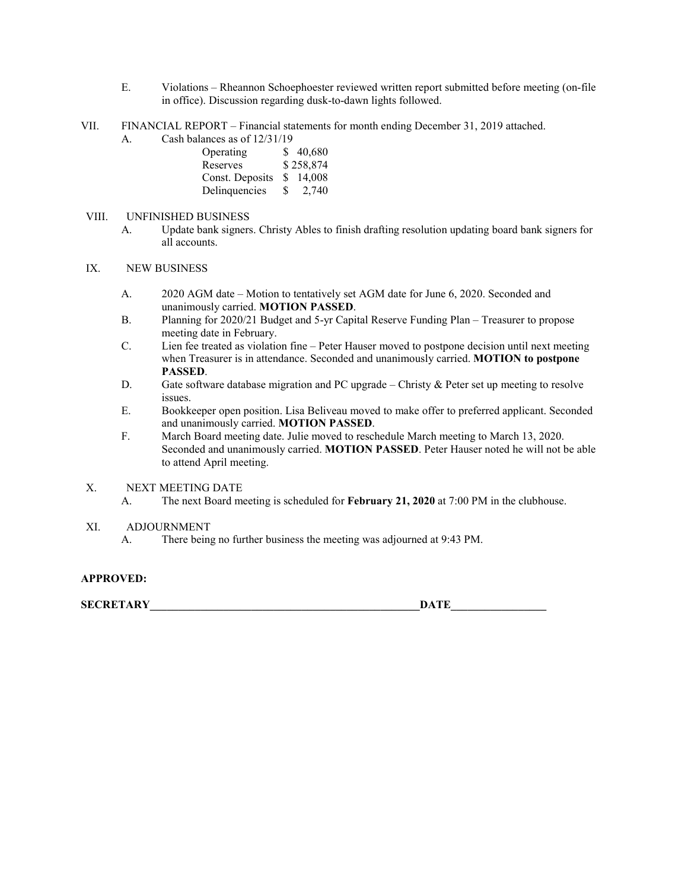- E. Violations Rheannon Schoephoester reviewed written report submitted before meeting (on-file in office). Discussion regarding dusk-to-dawn lights followed.
- VII. FINANCIAL REPORT Financial statements for month ending December 31, 2019 attached.
	- A. Cash balances as of 12/31/19

| Operating       |     | \$40,680  |
|-----------------|-----|-----------|
| Reserves        |     | \$258,874 |
| Const. Deposits | S.  | 14.008    |
| Delinquencies   | -SS | 2,740     |

### VIII. UNFINISHED BUSINESS

A. Update bank signers. Christy Ables to finish drafting resolution updating board bank signers for all accounts.

#### IX. NEW BUSINESS

- A. 2020 AGM date Motion to tentatively set AGM date for June 6, 2020. Seconded and unanimously carried. **MOTION PASSED**.
- B. Planning for 2020/21 Budget and 5-yr Capital Reserve Funding Plan Treasurer to propose meeting date in February.
- C. Lien fee treated as violation fine Peter Hauser moved to postpone decision until next meeting when Treasurer is in attendance. Seconded and unanimously carried. **MOTION to postpone PASSED**.
- D. Gate software database migration and PC upgrade Christy  $\&$  Peter set up meeting to resolve issues.
- E. Bookkeeper open position. Lisa Beliveau moved to make offer to preferred applicant. Seconded and unanimously carried. **MOTION PASSED**.
- F. March Board meeting date. Julie moved to reschedule March meeting to March 13, 2020. Seconded and unanimously carried. **MOTION PASSED**. Peter Hauser noted he will not be able to attend April meeting.

#### X. NEXT MEETING DATE

A. The next Board meeting is scheduled for **February 21, 2020** at 7:00 PM in the clubhouse.

#### XI. ADJOURNMENT

A. There being no further business the meeting was adjourned at 9:43 PM.

#### **APPROVED:**

 $\bf{SECRETARY}$  . The contract of the contract of the contract of the contract of the contract of the contract of the contract of the contract of the contract of the contract of the contract of the contract of the contract of t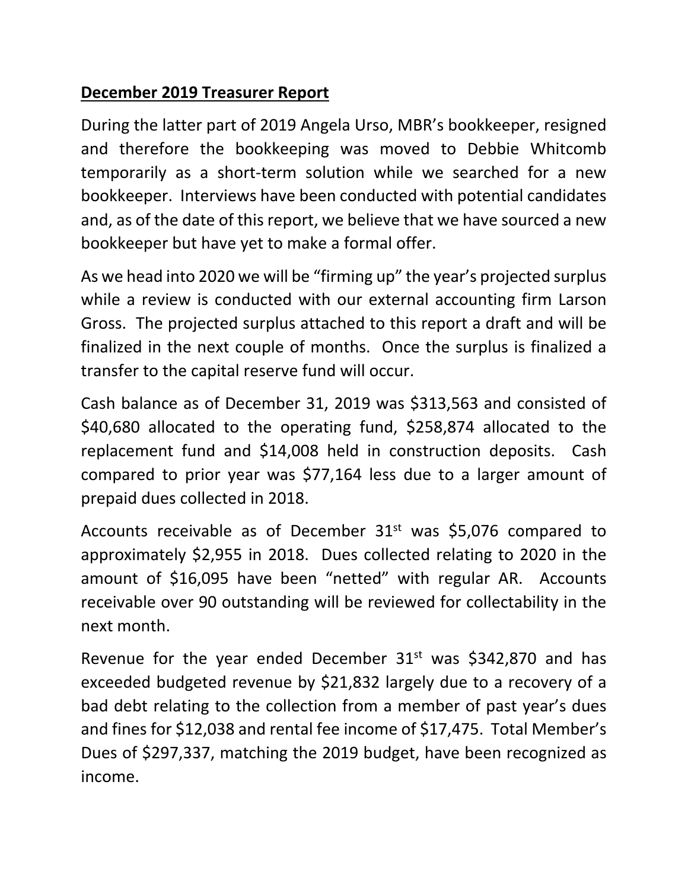# **December 2019 Treasurer Report**

During the latter part of 2019 Angela Urso, MBR's bookkeeper, resigned and therefore the bookkeeping was moved to Debbie Whitcomb temporarily as a short‐term solution while we searched for a new bookkeeper. Interviews have been conducted with potential candidates and, as of the date of this report, we believe that we have sourced a new bookkeeper but have yet to make a formal offer.

As we head into 2020 we will be "firming up" the year's projected surplus while a review is conducted with our external accounting firm Larson Gross. The projected surplus attached to this report a draft and will be finalized in the next couple of months. Once the surplus is finalized a transfer to the capital reserve fund will occur.

Cash balance as of December 31, 2019 was \$313,563 and consisted of \$40,680 allocated to the operating fund, \$258,874 allocated to the replacement fund and \$14,008 held in construction deposits. Cash compared to prior year was \$77,164 less due to a larger amount of prepaid dues collected in 2018.

Accounts receivable as of December  $31<sup>st</sup>$  was \$5,076 compared to approximately \$2,955 in 2018. Dues collected relating to 2020 in the amount of \$16,095 have been "netted" with regular AR. Accounts receivable over 90 outstanding will be reviewed for collectability in the next month.

Revenue for the year ended December  $31<sup>st</sup>$  was \$342,870 and has exceeded budgeted revenue by \$21,832 largely due to a recovery of a bad debt relating to the collection from a member of past year's dues and fines for \$12,038 and rental fee income of \$17,475. Total Member's Dues of \$297,337, matching the 2019 budget, have been recognized as income.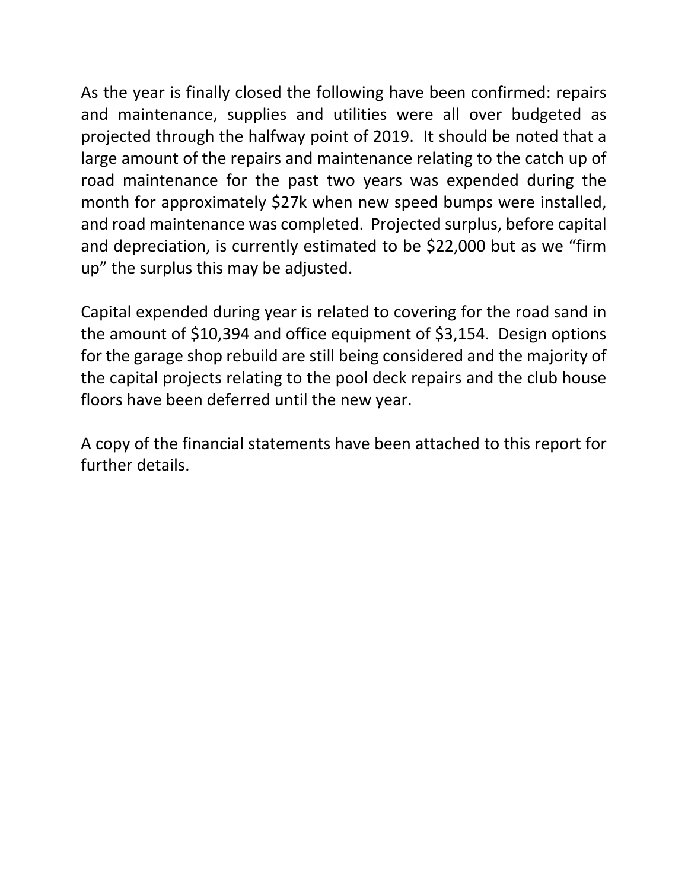As the year is finally closed the following have been confirmed: repairs and maintenance, supplies and utilities were all over budgeted as projected through the halfway point of 2019. It should be noted that a large amount of the repairs and maintenance relating to the catch up of road maintenance for the past two years was expended during the month for approximately \$27k when new speed bumps were installed, and road maintenance was completed. Projected surplus, before capital and depreciation, is currently estimated to be \$22,000 but as we "firm up" the surplus this may be adjusted.

Capital expended during year is related to covering for the road sand in the amount of \$10,394 and office equipment of \$3,154. Design options for the garage shop rebuild are still being considered and the majority of the capital projects relating to the pool deck repairs and the club house floors have been deferred until the new year.

A copy of the financial statements have been attached to this report for further details.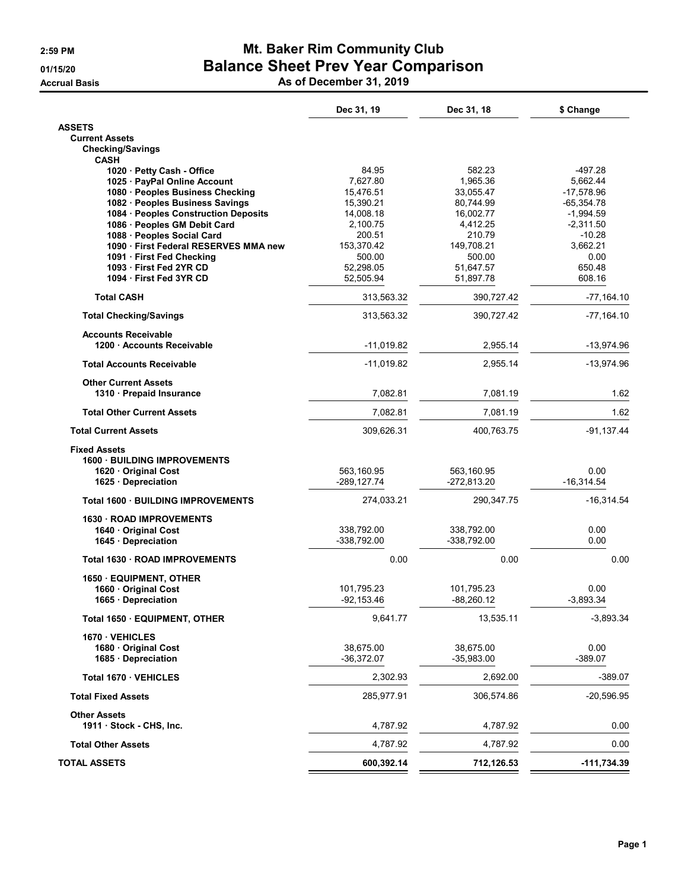# 2:59 PM **Mt. Baker Rim Community Club** 01/15/20 Balance Sheet Prev Year Comparison

Accrual Basis As of December 31, 2019

|                                                          | Dec 31, 19    | Dec 31, 18   | \$ Change     |
|----------------------------------------------------------|---------------|--------------|---------------|
| <b>ASSETS</b>                                            |               |              |               |
| <b>Current Assets</b>                                    |               |              |               |
| <b>Checking/Savings</b><br><b>CASH</b>                   |               |              |               |
| 1020 · Petty Cash - Office                               | 84.95         | 582.23       | -497.28       |
| 1025 · PayPal Online Account                             | 7,627.80      | 1,965.36     | 5,662.44      |
| 1080 · Peoples Business Checking                         | 15,476.51     | 33,055.47    | $-17,578.96$  |
| 1082 · Peoples Business Savings                          | 15,390.21     | 80,744.99    | $-65,354.78$  |
| 1084 · Peoples Construction Deposits                     | 14,008.18     | 16,002.77    | $-1,994.59$   |
| 1086 · Peoples GM Debit Card                             | 2,100.75      | 4,412.25     | $-2,311.50$   |
| 1088 · Peoples Social Card                               | 200.51        | 210.79       | $-10.28$      |
| 1090 First Federal RESERVES MMA new                      | 153,370.42    | 149,708.21   | 3,662.21      |
| 1091 · First Fed Checking                                | 500.00        | 500.00       | 0.00          |
| 1093 First Fed 2YR CD                                    | 52,298.05     | 51,647.57    | 650.48        |
| 1094 First Fed 3YR CD                                    | 52,505.94     | 51,897.78    | 608.16        |
| <b>Total CASH</b>                                        | 313,563.32    | 390,727.42   | $-77,164.10$  |
| <b>Total Checking/Savings</b>                            | 313,563.32    | 390,727.42   | $-77,164.10$  |
| <b>Accounts Receivable</b><br>1200 · Accounts Receivable | $-11,019.82$  | 2,955.14     | $-13,974.96$  |
|                                                          |               |              |               |
| <b>Total Accounts Receivable</b>                         | $-11,019.82$  | 2,955.14     | $-13,974.96$  |
| <b>Other Current Assets</b><br>1310 · Prepaid Insurance  | 7,082.81      | 7,081.19     | 1.62          |
| <b>Total Other Current Assets</b>                        | 7.082.81      | 7.081.19     | 1.62          |
|                                                          |               |              |               |
| <b>Total Current Assets</b>                              | 309,626.31    | 400,763.75   | $-91,137.44$  |
| <b>Fixed Assets</b>                                      |               |              |               |
| <b>1600 BUILDING IMPROVEMENTS</b>                        |               |              |               |
| 1620 Original Cost                                       | 563,160.95    | 563,160.95   | 0.00          |
| 1625 Depreciation                                        | -289,127.74   | -272,813.20  | $-16,314.54$  |
| <b>Total 1600 · BUILDING IMPROVEMENTS</b>                | 274,033.21    | 290,347.75   | $-16,314.54$  |
| 1630 ROAD IMPROVEMENTS                                   |               |              |               |
| 1640 Original Cost                                       | 338,792.00    | 338,792.00   | 0.00          |
| 1645 Depreciation                                        | -338,792.00   | -338,792.00  | 0.00          |
| Total 1630 · ROAD IMPROVEMENTS                           | 0.00          | 0.00         | 0.00          |
| 1650 EQUIPMENT, OTHER                                    |               |              |               |
| 1660 · Original Cost                                     | 101,795.23    | 101,795.23   | 0.00          |
| 1665 · Depreciation                                      | $-92, 153.46$ | $-88,260.12$ | $-3,893.34$   |
| Total 1650 · EQUIPMENT, OTHER                            | 9,641.77      | 13,535.11    | $-3,893.34$   |
| 1670 VEHICLES                                            |               |              |               |
| 1680 Original Cost                                       | 38,675.00     | 38,675.00    | 0.00          |
| 1685 Depreciation                                        | $-36,372.07$  | $-35,983.00$ | $-389.07$     |
| Total 1670 · VEHICLES                                    | 2,302.93      | 2,692.00     | $-389.07$     |
| <b>Total Fixed Assets</b>                                | 285,977.91    | 306,574.86   | $-20,596.95$  |
| <b>Other Assets</b>                                      |               |              |               |
| 1911 Stock - CHS, Inc.                                   | 4,787.92      | 4,787.92     | 0.00          |
| <b>Total Other Assets</b>                                | 4,787.92      | 4,787.92     | 0.00          |
| <b>TOTAL ASSETS</b>                                      | 600,392.14    | 712,126.53   | $-111,734.39$ |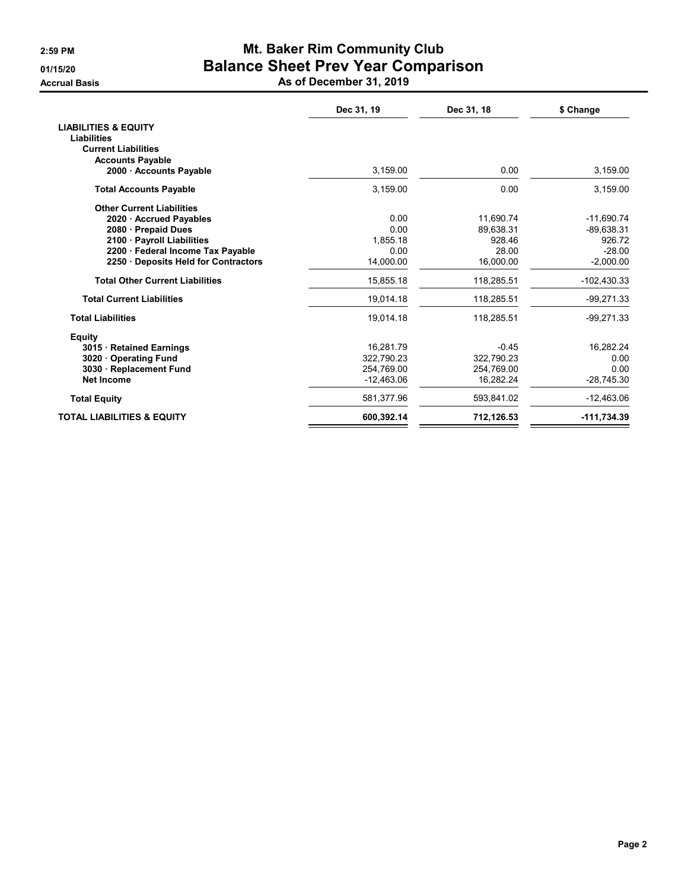# 2:59 PM **Mt. Baker Rim Community Club** 01/15/20 Balance Sheet Prev Year Comparison

Accrual Basis As of December 31, 2019

|                                        | Dec 31, 19   | Dec 31, 18 | \$ Change     |
|----------------------------------------|--------------|------------|---------------|
| <b>LIABILITIES &amp; EQUITY</b>        |              |            |               |
| <b>Liabilities</b>                     |              |            |               |
| <b>Current Liabilities</b>             |              |            |               |
| <b>Accounts Payable</b>                |              |            |               |
| 2000 Accounts Payable                  | 3.159.00     | 0.00       | 3,159.00      |
| <b>Total Accounts Payable</b>          | 3,159.00     | 0.00       | 3,159.00      |
| <b>Other Current Liabilities</b>       |              |            |               |
| 2020 · Accrued Payables                | 0.00         | 11,690.74  | $-11.690.74$  |
| 2080 Prepaid Dues                      | 0.00         | 89.638.31  | $-89.638.31$  |
| 2100 Payroll Liabilities               | 1.855.18     | 928.46     | 926.72        |
| 2200 · Federal Income Tax Payable      | 0.00         | 28.00      | $-28.00$      |
| 2250 Deposits Held for Contractors     | 14,000.00    | 16,000.00  | $-2,000.00$   |
| <b>Total Other Current Liabilities</b> | 15,855.18    | 118,285.51 | $-102,430.33$ |
| <b>Total Current Liabilities</b>       | 19,014.18    | 118,285.51 | $-99,271.33$  |
| <b>Total Liabilities</b>               | 19,014.18    | 118,285.51 | $-99,271.33$  |
| <b>Equity</b>                          |              |            |               |
| 3015 Retained Earnings                 | 16,281.79    | $-0.45$    | 16,282.24     |
| 3020 Operating Fund                    | 322.790.23   | 322.790.23 | 0.00          |
| 3030 · Replacement Fund                | 254,769.00   | 254,769.00 | 0.00          |
| <b>Net Income</b>                      | $-12,463.06$ | 16,282.24  | $-28,745.30$  |
| <b>Total Equity</b>                    | 581,377.96   | 593.841.02 | $-12,463.06$  |
| <b>TOTAL LIABILITIES &amp; EQUITY</b>  | 600,392.14   | 712,126.53 | -111,734.39   |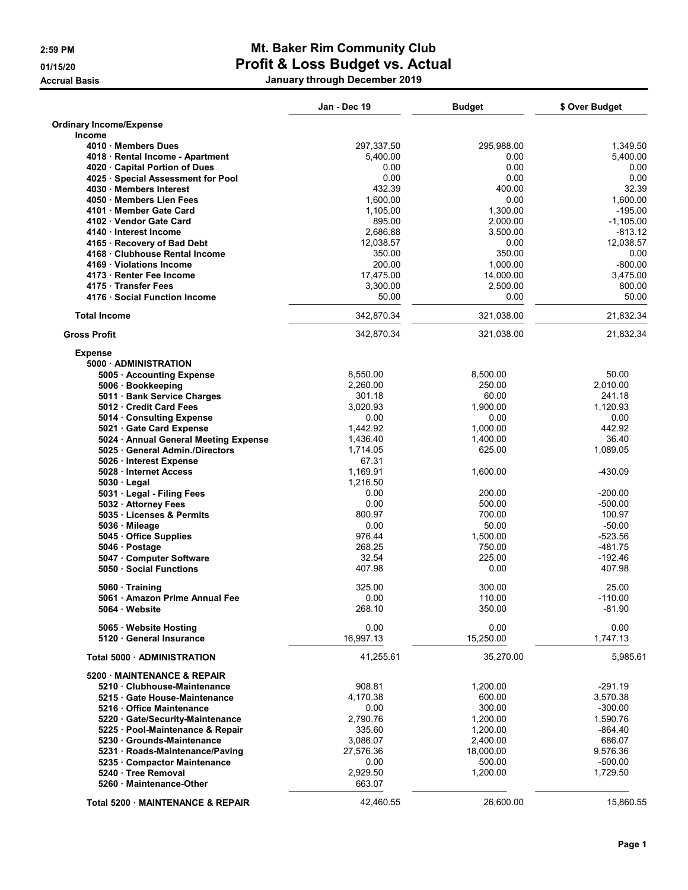# 2:59 PM Mt. Baker Rim Community Club 01/15/20 **Profit & Loss Budget vs. Actual** Accrual Basis January through December 2019

|                                       | Jan - Dec 19 | <b>Budget</b> | \$ Over Budget |
|---------------------------------------|--------------|---------------|----------------|
| <b>Ordinary Income/Expense</b>        |              |               |                |
| Income                                |              |               |                |
| 4010 Members Dues                     | 297,337.50   | 295,988.00    | 1,349.50       |
| 4018 · Rental Income - Apartment      | 5,400.00     | 0.00          | 5,400.00       |
| 4020 Capital Portion of Dues          | 0.00         | 0.00          | 0.00           |
| 4025 · Special Assessment for Pool    | 0.00         | 0.00          | 0.00           |
| 4030 Members Interest                 | 432.39       | 400.00        | 32.39          |
| 4050 Members Lien Fees                | 1,600.00     | 0.00          | 1,600.00       |
| 4101 Member Gate Card                 | 1,105.00     | 1,300.00      | $-195.00$      |
| 4102 Vendor Gate Card                 | 895.00       | 2,000.00      | $-1,105.00$    |
| 4140 Interest Income                  | 2,686.88     | 3,500.00      | $-813.12$      |
| 4165 · Recovery of Bad Debt           | 12,038.57    | 0.00          | 12,038.57      |
| 4168 Clubhouse Rental Income          | 350.00       | 350.00        | 0.00           |
| 4169 Violations Income                | 200.00       | 1,000.00      | $-800.00$      |
| 4173 · Renter Fee Income              | 17,475.00    | 14,000.00     | 3,475.00       |
| 4175 Transfer Fees                    | 3,300.00     | 2,500.00      | 800.00         |
| 4176 · Social Function Income         | 50.00        | 0.00          | 50.00          |
| <b>Total Income</b>                   | 342,870.34   | 321,038.00    | 21,832.34      |
| <b>Gross Profit</b>                   | 342,870.34   | 321,038.00    | 21,832.34      |
| <b>Expense</b>                        |              |               |                |
| 5000 ADMINISTRATION                   |              |               |                |
| 5005 · Accounting Expense             | 8,550.00     | 8,500.00      | 50.00          |
| 5006 · Bookkeeping                    | 2,260.00     | 250.00        | 2,010.00       |
| 5011 · Bank Service Charges           | 301.18       | 60.00         | 241.18         |
| 5012 Credit Card Fees                 | 3,020.93     | 1.900.00      | 1,120.93       |
| 5014 Consulting Expense               | 0.00         | 0.00          | 0.00           |
| 5021 Gate Card Expense                | 1,442.92     | 1,000.00      | 442.92         |
| 5024 · Annual General Meeting Expense | 1,436.40     | 1,400.00      | 36.40          |
| 5025 · General Admin./Directors       | 1,714.05     | 625.00        | 1,089.05       |
| 5026 · Interest Expense               | 67.31        |               |                |
| 5028 · Internet Access                | 1,169.91     | 1,600.00      | -430.09        |
| $5030 \cdot$ Legal                    | 1,216.50     |               |                |
| 5031 · Legal - Filing Fees            | 0.00         | 200.00        | $-200.00$      |
| 5032 · Attorney Fees                  | 0.00         | 500.00        | $-500.00$      |
| 5035 Licenses & Permits               | 800.97       | 700.00        | 100.97         |
| 5036 Mileage                          | 0.00         | 50.00         | $-50.00$       |
| 5045 Office Supplies                  | 976.44       | 1,500.00      | -523.56        |
| 5046 · Postage                        | 268.25       | 750.00        | -481.75        |
| 5047 Computer Software                | 32.54        | 225.00        | $-192.46$      |
| 5050 · Social Functions               | 407.98       | 0.00          | 407.98         |
| 5060 Training                         | 325.00       | 300.00        | 25.00          |
| 5061 · Amazon Prime Annual Fee        | 0.00         | 110.00        | $-110.00$      |
| 5064 · Website                        | 268.10       | 350.00        | $-81.90$       |
| 5065 · Website Hosting                | 0.00         | 0.00          | 0.00           |
| 5120 General Insurance                | 16,997.13    | 15,250.00     | 1,747.13       |
| <b>Total 5000 ADMINISTRATION</b>      | 41,255.61    | 35,270.00     | 5,985.61       |
| 5200 MAINTENANCE & REPAIR             |              |               |                |
| 5210 Clubhouse-Maintenance            | 908.81       | 1,200.00      | -291.19        |
| 5215 Gate House-Maintenance           | 4,170.38     | 600.00        | 3,570.38       |
| 5216 · Office Maintenance             | 0.00         | 300.00        | $-300.00$      |
| 5220 Gate/Security-Maintenance        | 2,790.76     | 1,200.00      | 1,590.76       |
| 5225 · Pool-Maintenance & Repair      | 335.60       | 1,200.00      | $-864.40$      |
| 5230 Grounds-Maintenance              | 3,086.07     | 2,400.00      | 686.07         |
| 5231 · Roads-Maintenance/Paving       | 27,576.36    | 18,000.00     | 9,576.36       |
| 5235 · Compactor Maintenance          | 0.00         | 500.00        | $-500.00$      |
| 5240 · Tree Removal                   | 2,929.50     | 1,200.00      | 1,729.50       |
| 5260 Maintenance-Other                | 663.07       |               |                |
|                                       |              |               |                |
| Total 5200 · MAINTENANCE & REPAIR     | 42,460.55    | 26,600.00     | 15,860.55      |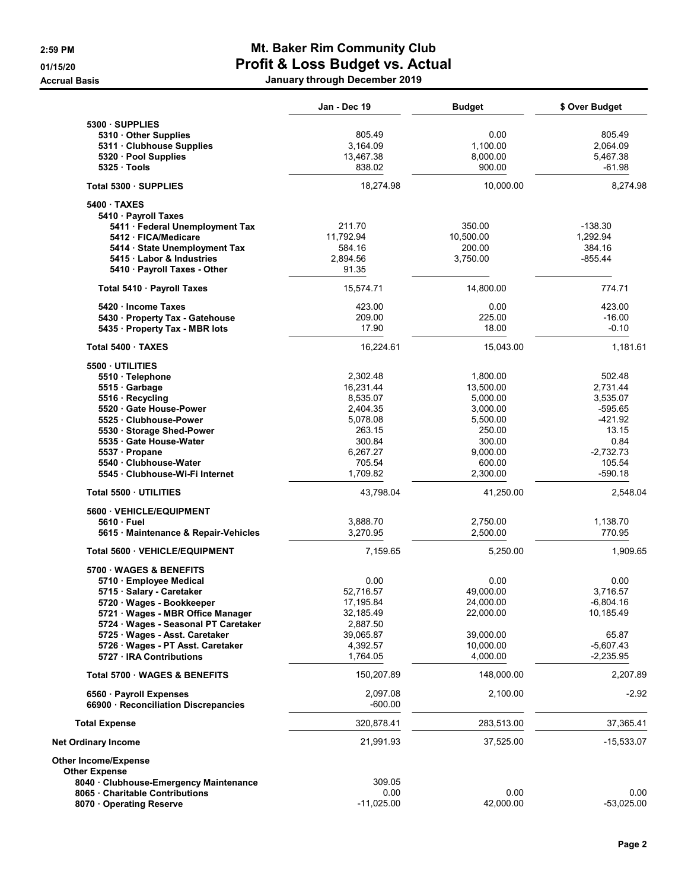## 2:59 PM Mt. Baker Rim Community Club 01/15/20 **Profit & Loss Budget vs. Actual** Accrual Basis January through December 2019

|                                                                     | Jan - Dec 19          | <b>Budget</b> | \$ Over Budget |
|---------------------------------------------------------------------|-----------------------|---------------|----------------|
| 5300 SUPPLIES                                                       |                       |               |                |
| 5310 Other Supplies                                                 | 805.49                | 0.00          | 805.49         |
| 5311 · Clubhouse Supplies                                           | 3,164.09              | 1,100.00      | 2,064.09       |
| 5320 · Pool Supplies                                                | 13,467.38             | 8,000.00      | 5,467.38       |
| $5325 \cdot \text{Tools}$                                           | 838.02                | 900.00        | $-61.98$       |
| Total 5300 · SUPPLIES                                               | 18,274.98             | 10,000.00     | 8,274.98       |
| 5400 TAXES                                                          |                       |               |                |
| 5410 · Payroll Taxes                                                |                       |               |                |
| 5411 · Federal Unemployment Tax                                     | 211.70                | 350.00        | -138.30        |
| 5412 · FICA/Medicare                                                | 11,792.94             | 10,500.00     | 1,292.94       |
| 5414 State Unemployment Tax                                         | 584.16                | 200.00        | 384.16         |
| 5415 Labor & Industries                                             | 2,894.56              | 3,750.00      | -855.44        |
| 5410 · Payroll Taxes - Other                                        | 91.35                 |               |                |
| Total 5410 · Payroll Taxes                                          | 15,574.71             | 14,800.00     | 774.71         |
| 5420 Income Taxes                                                   | 423.00                | 0.00          | 423.00         |
| 5430 · Property Tax - Gatehouse                                     | 209.00                | 225.00        | $-16.00$       |
| 5435 · Property Tax - MBR lots                                      | 17.90                 | 18.00         | $-0.10$        |
| Total 5400 · TAXES                                                  | 16,224.61             | 15,043.00     | 1,181.61       |
| 5500 UTILITIES                                                      |                       |               |                |
| 5510 · Telephone                                                    | 2,302.48              | 1,800.00      | 502.48         |
| 5515 Garbage                                                        | 16,231.44             | 13,500.00     | 2,731.44       |
| 5516 · Recycling                                                    | 8,535.07              | 5,000.00      | 3,535.07       |
| 5520 Gate House-Power                                               | 2,404.35              | 3,000.00      | $-595.65$      |
| 5525 Clubhouse-Power                                                | 5,078.08              | 5,500.00      | -421.92        |
| 5530 · Storage Shed-Power                                           | 263.15                | 250.00        | 13.15          |
| 5535 Gate House-Water                                               | 300.84                | 300.00        | 0.84           |
| 5537 · Propane                                                      | 6,267.27              | 9,000.00      | $-2,732.73$    |
| 5540 Clubhouse-Water                                                | 705.54                | 600.00        | 105.54         |
| 5545 · Clubhouse-Wi-Fi Internet                                     | 1,709.82              | 2,300.00      | $-590.18$      |
| Total 5500 UTILITIES                                                | 43,798.04             | 41,250.00     | 2,548.04       |
| 5600 VEHICLE/EQUIPMENT                                              |                       |               |                |
| $5610 \cdot$ Fuel                                                   | 3,888.70              | 2,750.00      | 1,138.70       |
| 5615 Maintenance & Repair-Vehicles                                  | 3,270.95              | 2,500.00      | 770.95         |
| <b>Total 5600 · VEHICLE/EQUIPMENT</b>                               | 7,159.65              | 5,250.00      | 1,909.65       |
| 5700 WAGES & BENEFITS                                               |                       |               |                |
| 5710 · Employee Medical                                             | 0.00                  | 0.00          | 0.00           |
| 5715 · Salary - Caretaker                                           | 52,716.57             | 49,000.00     | 3,716.57       |
| 5720 · Wages - Bookkeeper                                           | 17,195.84             | 24,000.00     | $-6,804.16$    |
| 5721 · Wages - MBR Office Manager                                   | 32,185.49             | 22,000.00     | 10,185.49      |
| 5724 · Wages - Seasonal PT Caretaker                                | 2,887.50<br>39,065.87 | 39,000.00     | 65.87          |
| 5725 · Wages - Asst. Caretaker<br>5726 · Wages - PT Asst. Caretaker | 4,392.57              | 10,000.00     | $-5,607.43$    |
| 5727 · IRA Contributions                                            | 1,764.05              | 4,000.00      | $-2,235.95$    |
| Total 5700 WAGES & BENEFITS                                         | 150,207.89            | 148,000.00    | 2,207.89       |
| 6560 · Payroll Expenses                                             | 2,097.08              | 2,100.00      | $-2.92$        |
| 66900 · Reconciliation Discrepancies                                | $-600.00$             |               |                |
| <b>Total Expense</b>                                                | 320,878.41            | 283,513.00    | 37,365.41      |
| Net Ordinary Income                                                 | 21,991.93             | 37,525.00     | $-15,533.07$   |
| <b>Other Income/Expense</b>                                         |                       |               |                |
| <b>Other Expense</b>                                                |                       |               |                |
| 8040 Clubhouse-Emergency Maintenance                                | 309.05                |               |                |
| 8065 · Charitable Contributions                                     | 0.00                  | 0.00          | 0.00           |
| 8070 Operating Reserve                                              | $-11,025.00$          | 42,000.00     | $-53,025.00$   |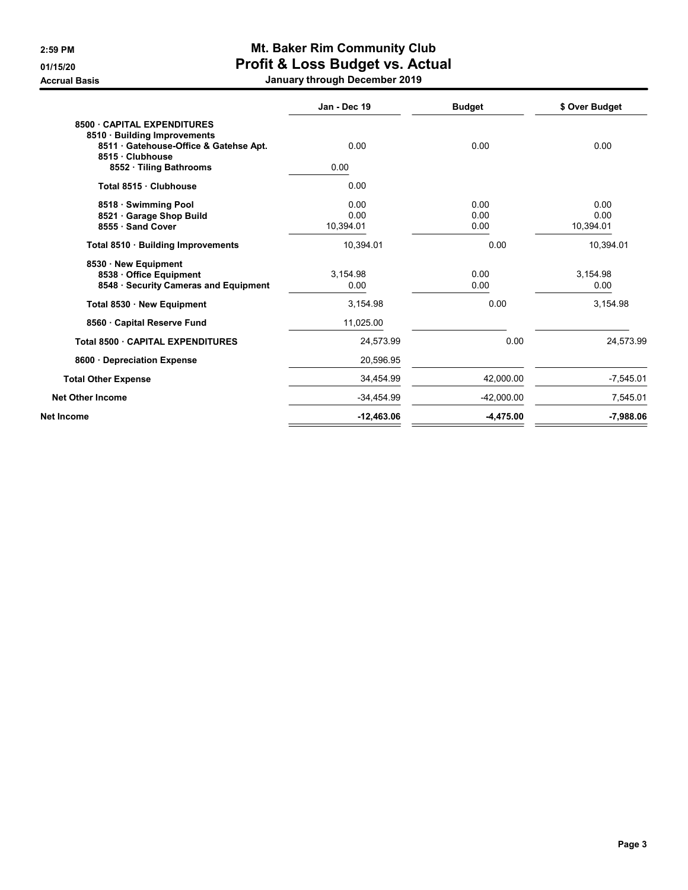# 2:59 PM Mt. Baker Rim Community Club 01/15/20 **Profit & Loss Budget vs. Actual**

Accrual Basis **Accrual Basis** Accrual Basis **January through December 2019** 

|                                                                                                                       | Jan - Dec 19 | <b>Budget</b> | \$ Over Budget |
|-----------------------------------------------------------------------------------------------------------------------|--------------|---------------|----------------|
| 8500 CAPITAL EXPENDITURES<br>8510 · Building Improvements<br>8511 · Gatehouse-Office & Gatehse Apt.<br>8515 Clubhouse | 0.00         | 0.00          | 0.00           |
| 8552 · Tiling Bathrooms                                                                                               | 0.00         |               |                |
| Total 8515 · Clubhouse                                                                                                | 0.00         |               |                |
| 8518 · Swimming Pool                                                                                                  | 0.00         | 0.00          | 0.00           |
| 8521 Garage Shop Build                                                                                                | 0.00         | 0.00          | 0.00           |
| 8555 · Sand Cover                                                                                                     | 10,394.01    | 0.00          | 10,394.01      |
| Total 8510 · Building Improvements                                                                                    | 10,394.01    | 0.00          | 10,394.01      |
| 8530 New Equipment                                                                                                    |              |               |                |
| 8538 Office Equipment                                                                                                 | 3,154.98     | 0.00          | 3,154.98       |
| 8548 · Security Cameras and Equipment                                                                                 | 0.00         | 0.00          | 0.00           |
| Total 8530 · New Equipment                                                                                            | 3,154.98     | 0.00          | 3,154.98       |
| 8560 Capital Reserve Fund                                                                                             | 11,025.00    |               |                |
| Total 8500 CAPITAL EXPENDITURES                                                                                       | 24,573.99    | 0.00          | 24,573.99      |
| 8600 · Depreciation Expense                                                                                           | 20,596.95    |               |                |
| <b>Total Other Expense</b>                                                                                            | 34,454.99    | 42.000.00     | $-7,545.01$    |
| <b>Net Other Income</b>                                                                                               | -34,454.99   | $-42,000.00$  | 7,545.01       |
| <b>Net Income</b>                                                                                                     | $-12,463.06$ | $-4,475.00$   | $-7.988.06$    |
|                                                                                                                       |              |               |                |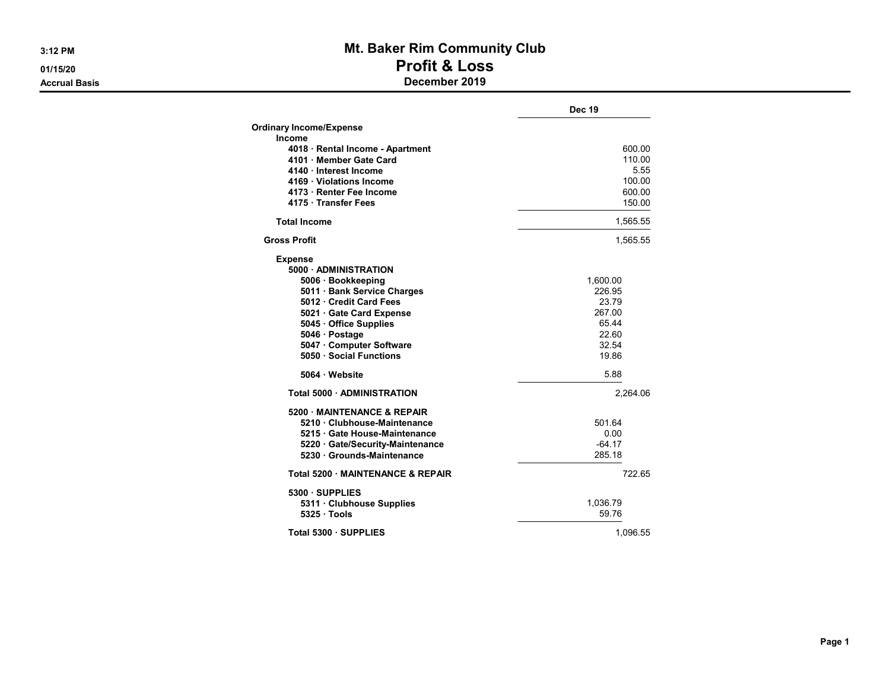# 3:12 PM **Mt. Baker Rim Community Club** 01/15/20 **Profit & Loss** Accrual Basis December 2019

|                                                     | <b>Dec 19</b>  |
|-----------------------------------------------------|----------------|
| <b>Ordinary Income/Expense</b>                      |                |
| Income                                              |                |
| 4018 · Rental Income - Apartment                    | 600.00         |
| 4101 · Member Gate Card                             | 110.00         |
| 4140 · Interest Income                              | 5.55           |
| 4169 Violations Income                              | 100.00         |
| 4173 · Renter Fee Income                            | 600.00         |
| 4175 · Transfer Fees                                | 150.00         |
| <b>Total Income</b>                                 | 1,565.55       |
| <b>Gross Profit</b>                                 | 1,565.55       |
| <b>Expense</b>                                      |                |
| 5000 ADMINISTRATION                                 |                |
| 5006 · Bookkeeping                                  | 1,600.00       |
| 5011 · Bank Service Charges                         | 226.95         |
| 5012 Credit Card Fees                               | 23.79          |
| 5021 Gate Card Expense                              | 267.00         |
| 5045 Office Supplies                                | 65.44          |
| 5046 · Postage                                      | 22.60<br>32.54 |
| 5047 · Computer Software<br>5050 · Social Functions | 19.86          |
|                                                     |                |
| 5064 · Website                                      | 5.88           |
| Total 5000 · ADMINISTRATION                         | 2.264.06       |
| 5200 MAINTENANCE & REPAIR                           |                |
| 5210 Clubhouse-Maintenance                          | 501.64         |
| 5215 Gate House-Maintenance                         | 0.00           |
| 5220 Gate/Security-Maintenance                      | $-64.17$       |
| 5230 · Grounds-Maintenance                          | 285.18         |
| Total 5200 MAINTENANCE & REPAIR                     | 722.65         |
| 5300 · SUPPLIES                                     |                |
| 5311 · Clubhouse Supplies                           | 1,036.79       |
| 5325 Tools                                          | 59.76          |
| Total 5300 · SUPPLIES                               | 1.096.55       |

Page 1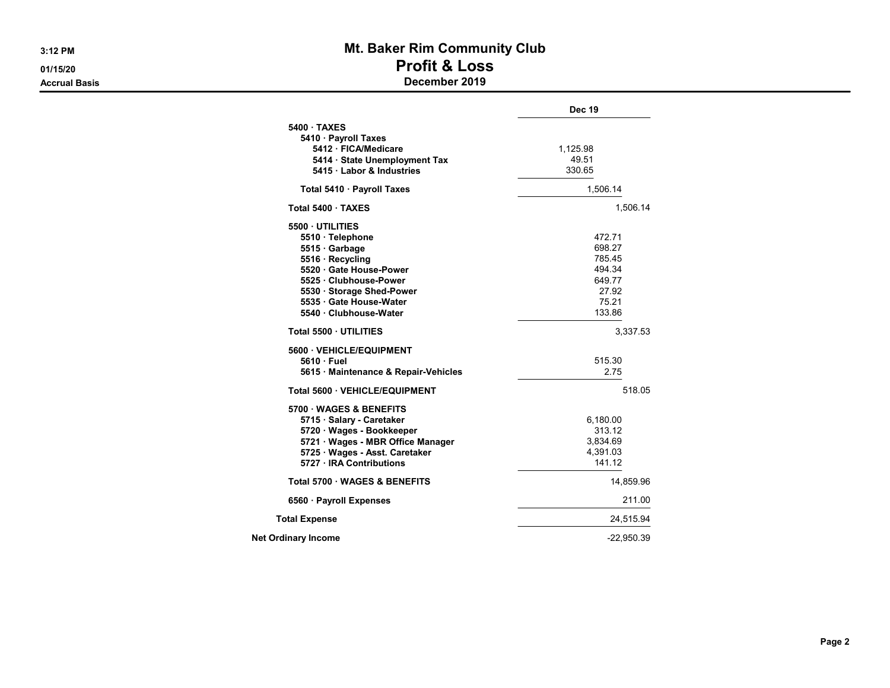# 3:12 PM **Mt. Baker Rim Community Club** 01/15/20 **Profit & Loss**

## Accrual Basis December 2019

|                                        | <b>Dec 19</b> |
|----------------------------------------|---------------|
| 5400 TAXES<br>5410 · Payroll Taxes     |               |
| 5412 · FICA/Medicare                   | 1,125.98      |
| 5414 · State Unemployment Tax          | 49.51         |
| 5415 · Labor & Industries              | 330.65        |
| Total 5410 · Payroll Taxes             | 1,506.14      |
| Total 5400 TAXES                       | 1,506.14      |
| 5500 UTILITIES                         |               |
| 5510 · Telephone                       | 472.71        |
| 5515 · Garbage                         | 698.27        |
| 5516 · Recycling                       | 785.45        |
| 5520 · Gate House-Power                | 494.34        |
| 5525 Clubhouse-Power                   | 649.77        |
| 5530 Storage Shed-Power                | 27.92         |
| 5535 Gate House-Water                  | 75.21         |
| 5540 Clubhouse-Water                   | 133.86        |
| Total 5500 UTILITIES                   | 3,337.53      |
| 5600 VEHICLE/EQUIPMENT                 |               |
| 5610 Fuel                              | 515.30        |
| 5615 · Maintenance & Repair-Vehicles   | 2.75          |
| Total 5600 · VEHICLE/EQUIPMENT         | 518.05        |
| 5700 WAGES & BENEFITS                  |               |
| 5715 · Salary - Caretaker              | 6,180.00      |
| 5720 · Wages - Bookkeeper              | 313.12        |
| 5721 · Wages - MBR Office Manager      | 3,834.69      |
| 5725 · Wages - Asst. Caretaker         | 4,391.03      |
| 5727 · IRA Contributions               | 141.12        |
| <b>Total 5700 WAGES &amp; BENEFITS</b> | 14,859.96     |
| 6560 · Payroll Expenses                | 211.00        |
| <b>Total Expense</b>                   | 24,515.94     |
| <b>Net Ordinary Income</b>             | $-22,950.39$  |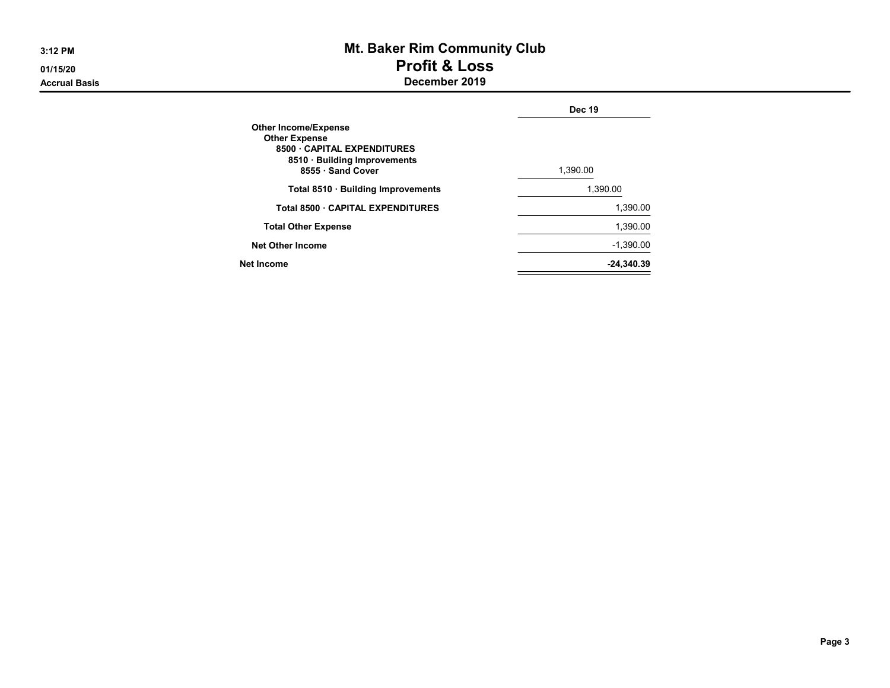# 3:12 PM **Mt. Baker Rim Community Club** 01/15/20 **Profit & Loss** Accrual Basis December 2019

|                                                                                                                                       | <b>Dec 19</b> |
|---------------------------------------------------------------------------------------------------------------------------------------|---------------|
| <b>Other Income/Expense</b><br><b>Other Expense</b><br>8500 CAPITAL EXPENDITURES<br>8510 · Building Improvements<br>8555 · Sand Cover | 1.390.00      |
| Total 8510 · Building Improvements                                                                                                    | 1.390.00      |
| Total 8500 · CAPITAL EXPENDITURES                                                                                                     | 1.390.00      |
| <b>Total Other Expense</b>                                                                                                            | 1.390.00      |
| <b>Net Other Income</b>                                                                                                               | $-1,390.00$   |
| Net Income                                                                                                                            | -24.340.39    |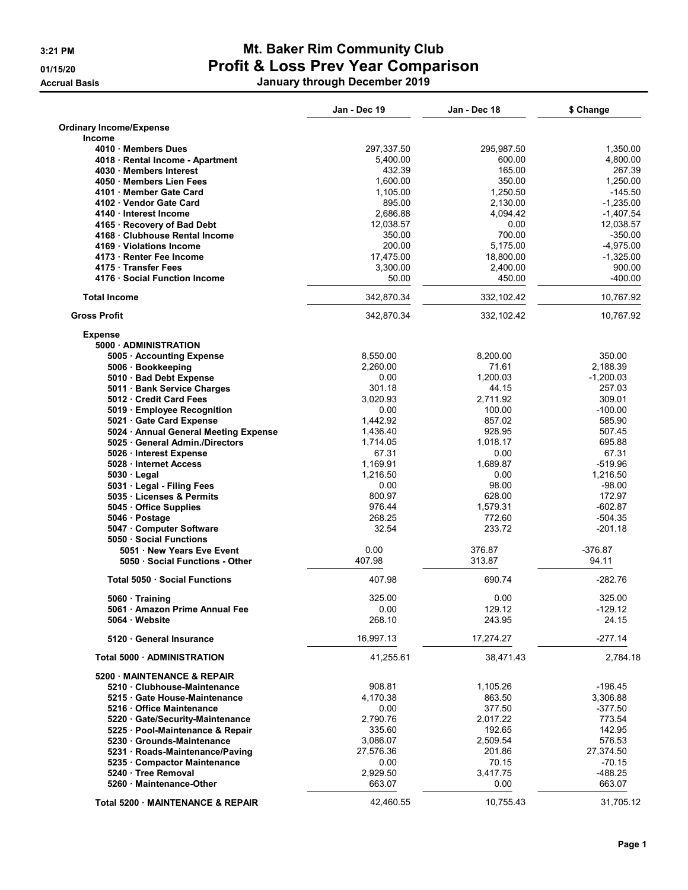**Accrual Basis** 

# 3:21 PM Mt. Baker Rim Community Club 01/15/20 **Profit & Loss Prev Year Comparison**

|  |  | January through December 2019 |  |
|--|--|-------------------------------|--|
|--|--|-------------------------------|--|

|                                                       | Jan - Dec 19       | Jan - Dec 18       | \$ Change             |
|-------------------------------------------------------|--------------------|--------------------|-----------------------|
| <b>Ordinary Income/Expense</b>                        |                    |                    |                       |
| <b>Income</b>                                         |                    |                    |                       |
| 4010 Members Dues                                     | 297,337.50         | 295,987.50         | 1,350.00              |
| 4018 · Rental Income - Apartment                      | 5,400.00           | 600.00             | 4,800.00              |
| 4030 Members Interest                                 | 432.39             | 165.00             | 267.39                |
| 4050 Members Lien Fees                                | 1.600.00           | 350.00<br>1,250.50 | 1.250.00<br>$-145.50$ |
| 4101 Member Gate Card                                 | 1,105.00<br>895.00 | 2,130.00           | $-1,235.00$           |
| 4102 Vendor Gate Card<br>4140 · Interest Income       | 2,686.88           | 4,094.42           | $-1,407.54$           |
| 4165 · Recovery of Bad Debt                           | 12,038.57          | 0.00               | 12,038.57             |
| 4168 · Clubhouse Rental Income                        | 350.00             | 700.00             | $-350.00$             |
| 4169 Violations Income                                | 200.00             | 5,175.00           | $-4,975.00$           |
| 4173 · Renter Fee Income                              | 17,475.00          | 18,800.00          | $-1,325.00$           |
| 4175 Transfer Fees                                    | 3,300.00           | 2,400.00           | 900.00                |
| 4176 Social Function Income                           | 50.00              | 450.00             | $-400.00$             |
| <b>Total Income</b>                                   | 342,870.34         | 332,102.42         | 10,767.92             |
| <b>Gross Profit</b>                                   | 342,870.34         | 332,102.42         | 10,767.92             |
| <b>Expense</b>                                        |                    |                    |                       |
| 5000 - ADMINISTRATION                                 |                    |                    |                       |
| 5005 · Accounting Expense                             | 8,550.00           | 8,200.00           | 350.00                |
| 5006 · Bookkeeping                                    | 2,260.00           | 71.61              | 2.188.39              |
| 5010 · Bad Debt Expense                               | 0.00               | 1,200.03           | $-1,200.03$           |
| 5011 Bank Service Charges                             | 301.18             | 44.15              | 257.03                |
| 5012 Credit Card Fees                                 | 3.020.93           | 2,711.92           | 309.01                |
| 5019 Employee Recognition                             | 0.00               | 100.00             | $-100.00$             |
| 5021 Gate Card Expense                                | 1,442.92           | 857.02             | 585.90                |
| 5024 • Annual General Meeting Expense                 | 1,436.40           | 928.95             | 507.45                |
| 5025 General Admin./Directors                         | 1,714.05           | 1,018.17           | 695.88                |
| 5026 · Interest Expense                               | 67.31              | 0.00               | 67.31                 |
| 5028 Internet Access                                  | 1,169.91           | 1,689.87           | $-519.96$             |
| $5030 \cdot$ Legal                                    | 1,216.50           | 0.00<br>98.00      | 1,216.50              |
| 5031 · Legal - Filing Fees<br>5035 Licenses & Permits | 0.00<br>800.97     | 628.00             | $-98.00$<br>172.97    |
| 5045 Office Supplies                                  | 976.44             | 1,579.31           | -602.87               |
| 5046 Postage                                          | 268.25             | 772.60             | -504.35               |
| 5047 Computer Software                                | 32.54              | 233.72             | -201.18               |
| 5050 Social Functions                                 |                    |                    |                       |
| 5051 New Years Eve Event                              | 0.00               | 376.87             | $-376.87$             |
| 5050 · Social Functions - Other                       | 407.98             | 313.87             | 94.11                 |
| <b>Total 5050 Social Functions</b>                    | 407.98             | 690.74             | $-282.76$             |
|                                                       |                    |                    |                       |
| 5060 Training                                         | 325.00             | 0.00               | 325.00                |
| 5061 · Amazon Prime Annual Fee<br>5064 Website        | 0.00<br>268.10     | 129.12<br>243.95   | -129.12<br>24.15      |
| 5120 General Insurance                                | 16,997.13          | 17,274.27          | $-277.14$             |
| Total 5000 · ADMINISTRATION                           | 41,255.61          | 38,471.43          | 2,784.18              |
| 5200 MAINTENANCE & REPAIR                             |                    |                    |                       |
| 5210 Clubhouse-Maintenance                            | 908.81             | 1,105.26           | $-196.45$             |
| 5215 Gate House-Maintenance                           | 4,170.38           | 863.50             | 3,306.88              |
| 5216 Office Maintenance                               | 0.00               | 377.50             | $-377.50$             |
| 5220 Gate/Security-Maintenance                        | 2,790.76           | 2,017.22           | 773.54                |
| 5225 · Pool-Maintenance & Repair                      | 335.60             | 192.65             | 142.95                |
| 5230 Grounds-Maintenance                              | 3,086.07           | 2,509.54           | 576.53                |
| 5231 · Roads-Maintenance/Paving                       | 27,576.36          | 201.86             | 27,374.50             |
| 5235 Compactor Maintenance                            | 0.00               | 70.15              | $-70.15$              |
| 5240 Tree Removal                                     | 2,929.50           | 3,417.75           | -488.25               |
| 5260 Maintenance-Other                                | 663.07             | 0.00               | 663.07                |
|                                                       |                    |                    |                       |
| Total 5200 · MAINTENANCE & REPAIR                     | 42,460.55          | 10,755.43          | 31,705.12             |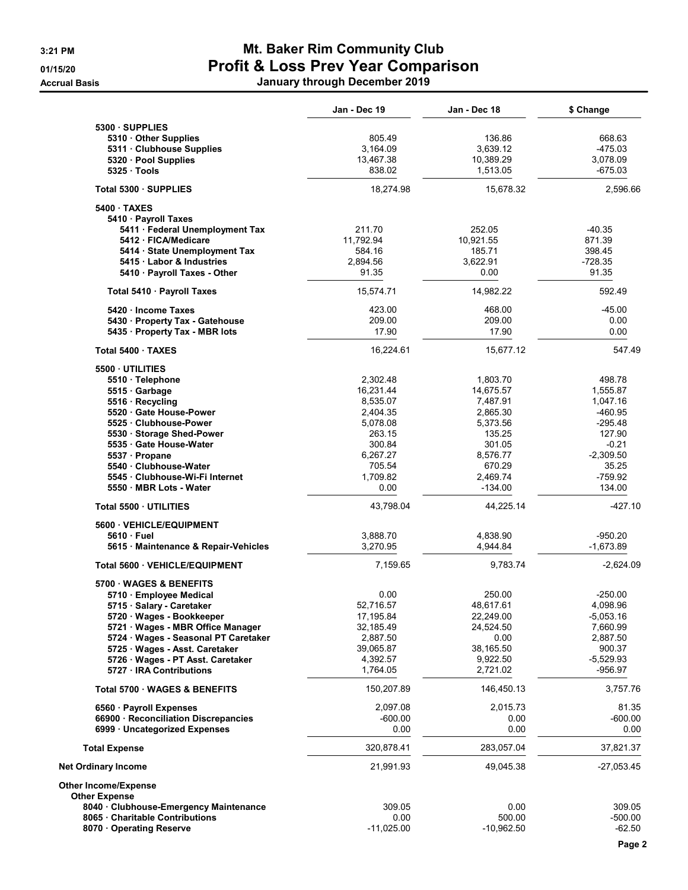# 3:21 PM **Mt. Baker Rim Community Club** 01/15/20 **Profit & Loss Prev Year Comparison** Accrual Basis January through December 2019

|                                                                       | Jan - Dec 19          | Jan - Dec 18          | \$ Change              |
|-----------------------------------------------------------------------|-----------------------|-----------------------|------------------------|
| 5300 SUPPLIES<br>5310 Other Supplies<br>5311 · Clubhouse Supplies     | 805.49<br>3,164.09    | 136.86<br>3,639.12    | 668.63<br>-475.03      |
| 5320 · Pool Supplies<br>5325 Tools                                    | 13,467.38<br>838.02   | 10,389.29<br>1,513.05 | 3,078.09<br>-675.03    |
| Total 5300 · SUPPLIES                                                 | 18,274.98             | 15,678.32             | 2,596.66               |
| 5400 TAXES                                                            |                       |                       |                        |
| 5410 · Payroll Taxes                                                  | 211.70                | 252.05                | $-40.35$               |
| 5411 · Federal Unemployment Tax<br>5412 FICA/Medicare                 | 11,792.94             | 10,921.55             | 871.39                 |
| 5414 · State Unemployment Tax                                         | 584.16                | 185.71                | 398.45                 |
| 5415 Labor & Industries                                               | 2,894.56              | 3,622.91              | $-728.35$              |
| 5410 · Payroll Taxes - Other                                          | 91.35                 | 0.00                  | 91.35                  |
| Total 5410 · Payroll Taxes                                            | 15,574.71             | 14,982.22             | 592.49                 |
| 5420 Income Taxes                                                     | 423.00                | 468.00                | $-45.00$               |
| 5430 · Property Tax - Gatehouse                                       | 209.00                | 209.00                | 0.00                   |
| 5435 · Property Tax - MBR lots                                        | 17.90                 | 17.90                 | 0.00                   |
| Total 5400 TAXES                                                      | 16,224.61             | 15,677.12             | 547.49                 |
| 5500 UTILITIES                                                        |                       |                       |                        |
| 5510 · Telephone<br>5515 Garbage                                      | 2.302.48<br>16,231.44 | 1,803.70<br>14,675.57 | 498.78<br>1,555.87     |
| 5516 Recycling                                                        | 8,535.07              | 7,487.91              | 1,047.16               |
| 5520 Gate House-Power                                                 | 2,404.35              | 2,865.30              | -460.95                |
| 5525 Clubhouse-Power                                                  | 5,078.08              | 5,373.56              | $-295.48$              |
| 5530 · Storage Shed-Power                                             | 263.15                | 135.25                | 127.90                 |
| 5535 Gate House-Water<br>5537 Propane                                 | 300.84<br>6,267.27    | 301.05<br>8,576.77    | $-0.21$<br>$-2,309.50$ |
| 5540 Clubhouse-Water                                                  | 705.54                | 670.29                | 35.25                  |
| 5545 Clubhouse-Wi-Fi Internet                                         | 1,709.82              | 2,469.74              | $-759.92$              |
| 5550 MBR Lots - Water                                                 | 0.00                  | $-134.00$             | 134.00                 |
| Total 5500 · UTILITIES                                                | 43,798.04             | 44,225.14             | $-427.10$              |
| 5600 VEHICLE/EQUIPMENT                                                |                       |                       |                        |
| 5610 Fuel                                                             | 3,888.70              | 4,838.90              | -950.20                |
| 5615 Maintenance & Repair-Vehicles                                    | 3,270.95              | 4,944.84              | $-1,673.89$            |
| Total 5600 · VEHICLE/EQUIPMENT                                        | 7,159.65              | 9,783.74              | $-2,624.09$            |
| 5700 WAGES & BENEFITS                                                 |                       |                       |                        |
| 5710 Employee Medical<br>5715 · Salary - Caretaker                    | 0.00<br>52,716.57     | 250.00<br>48,617.61   | $-250.00$<br>4,098.96  |
| 5720 Wages - Bookkeeper                                               | 17,195.84             | 22,249.00             | -5,053.16              |
| 5721 · Wages - MBR Office Manager                                     | 32,185.49             | 24,524.50             | 7,660.99               |
| 5724 · Wages - Seasonal PT Caretaker                                  | 2,887.50              | 0.00                  | 2,887.50               |
| 5725 · Wages - Asst. Caretaker<br>5726 · Wages - PT Asst. Caretaker   | 39,065.87<br>4,392.57 | 38,165.50<br>9,922.50 | 900.37<br>-5,529.93    |
| 5727 IRA Contributions                                                | 1,764.05              | 2,721.02              | -956.97                |
| Total 5700 · WAGES & BENEFITS                                         | 150,207.89            | 146,450.13            | 3,757.76               |
| 6560 · Payroll Expenses                                               | 2,097.08              | 2,015.73              | 81.35                  |
| 66900 · Reconciliation Discrepancies                                  | $-600.00$             | 0.00                  | -600.00                |
| 6999 · Uncategorized Expenses                                         | 0.00                  | 0.00                  | 0.00                   |
| <b>Total Expense</b>                                                  | 320,878.41            | 283,057.04            | 37,821.37              |
| <b>Net Ordinary Income</b>                                            | 21,991.93             | 49,045.38             | $-27,053.45$           |
| <b>Other Income/Expense</b>                                           |                       |                       |                        |
| <b>Other Expense</b>                                                  |                       |                       |                        |
| 8040 Clubhouse-Emergency Maintenance<br>8065 Charitable Contributions | 309.05<br>0.00        | 0.00<br>500.00        | 309.05<br>-500.00      |
| 8070 Operating Reserve                                                | $-11,025.00$          | $-10,962.50$          | $-62.50$               |